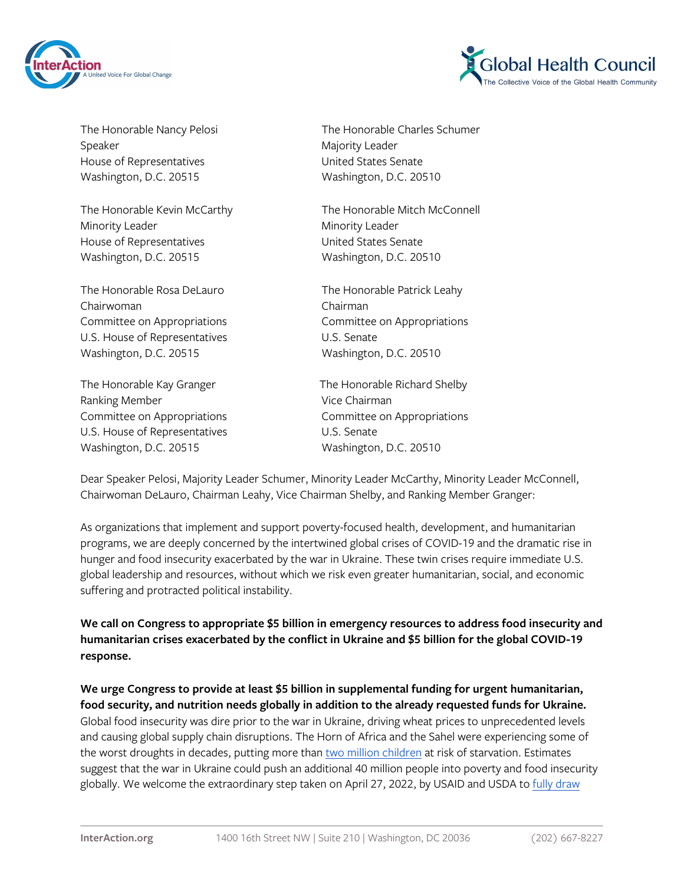



Speaker Majority Leader House of Representatives **Exercise Senate** United States Senate Washington, D.C. 20515 Washington, D.C. 20510

Minority Leader **Minority Leader** Minority Leader House of Representatives The Manuscript Contract United States Senate Washington, D.C. 20515 Washington, D.C. 20510

The Honorable Rosa DeLauro The Honorable Patrick Leahy Chairwoman Chairman Committee on Appropriations Committee on Appropriations U.S. House of Representatives **U.S. Senate** Washington, D.C. 20515 Washington, D.C. 20510

The Honorable Kay Granger The Honorable Richard Shelby Ranking Member **Vice Chairman** Committee on Appropriations Committee on Appropriations U.S. House of Representatives U.S. Senate Washington, D.C. 20515 Washington, D.C. 20510

The Honorable Nancy Pelosi The Honorable Charles Schumer

The Honorable Kevin McCarthy The Honorable Mitch McConnell

Dear Speaker Pelosi, Majority Leader Schumer, Minority Leader McCarthy, Minority Leader McConnell, Chairwoman DeLauro, Chairman Leahy, Vice Chairman Shelby, and Ranking Member Granger:

As organizations that implement and support poverty-focused health, development, and humanitarian programs, we are deeply concerned by the intertwined global crises of COVID-19 and the dramatic rise in hunger and food insecurity exacerbated by the war in Ukraine. These twin crises require immediate U.S. global leadership and resources, without which we risk even greater humanitarian, social, and economic suffering and protracted political instability.

**We call on Congress to appropriate \$5 billion in emergency resources to address food insecurity and humanitarian crises exacerbated by the conflict in Ukraine and \$5 billion for the global COVID-19 response.**

**We urge Congress to provide at least \$5 billion in supplemental funding for urgent humanitarian, food security, and nutrition needs globally in addition to the already requested funds for Ukraine.** Global food insecurity was dire prior to the war in Ukraine, driving wheat prices to unprecedented levels and causing global supply chain disruptions. The Horn of Africa and the Sahel were experiencing some of the worst droughts in decades, putting more than [two million children](https://www.reuters.com/world/africa/2-million-children-risk-starving-death-horn-africa-un-aid-chief-2022-04-26/) at risk of starvation. Estimates suggest that the war in Ukraine could push an additional 40 million people into poverty and food insecurity globally. We welcome the extraordinary step taken on April 27, 2022, by USAID and USDA to [fully draw](https://www.usaid.gov/news-information/press-releases/apr-27-2022-biden-administration-announces-hundreds-millions-dollars-global-food)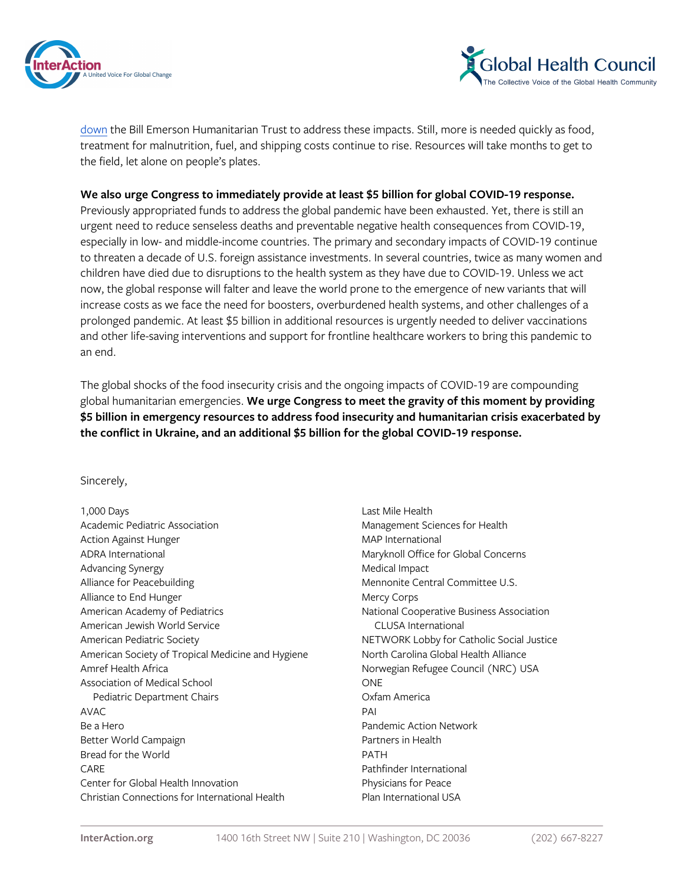



[down](https://www.usaid.gov/news-information/press-releases/apr-27-2022-biden-administration-announces-hundreds-millions-dollars-global-food) the Bill Emerson Humanitarian Trust to address these impacts. Still, more is needed quickly as food, treatment for malnutrition, fuel, and shipping costs continue to rise. Resources will take months to get to the field, let alone on people's plates.

## **We also urge Congress to immediately provide at least \$5 billion for global COVID-19 response.**

Previously appropriated funds to address the global pandemic have been exhausted. Yet, there is still an urgent need to reduce senseless deaths and preventable negative health consequences from COVID-19, especially in low- and middle-income countries. The primary and secondary impacts of COVID-19 continue to threaten a decade of U.S. foreign assistance investments. In several countries, twice as many women and children have died due to disruptions to the health system as they have due to COVID-19. Unless we act now, the global response will falter and leave the world prone to the emergence of new variants that will increase costs as we face the need for boosters, overburdened health systems, and other challenges of a prolonged pandemic. At least \$5 billion in additional resources is urgently needed to deliver vaccinations and other life-saving interventions and support for frontline healthcare workers to bring this pandemic to an end.

The global shocks of the food insecurity crisis and the ongoing impacts of COVID-19 are compounding global humanitarian emergencies. **We urge Congress to meet the gravity of this moment by providing \$5 billion in emergency resources to address food insecurity and humanitarian crisis exacerbated by the conflict in Ukraine, and an additional \$5 billion for the global COVID-19 response.**

Sincerely,

| 1,000 Days                                        | Last N  |
|---------------------------------------------------|---------|
| Academic Pediatric Association                    | Manag   |
| Action Against Hunger                             | MAP I   |
| <b>ADRA</b> International                         | Maryk   |
| Advancing Synergy                                 | Medic   |
| Alliance for Peacebuilding                        | Menn    |
| Alliance to End Hunger                            | Mercy   |
| American Academy of Pediatrics                    | Natio   |
| American Jewish World Service                     | CL      |
| American Pediatric Society                        | NETV    |
| American Society of Tropical Medicine and Hygiene | North   |
| Amref Health Africa                               | Norw    |
| Association of Medical School                     | ONE.    |
| Pediatric Department Chairs                       | Oxfan   |
| <b>AVAC</b>                                       | PAI     |
| Be a Hero                                         | Pande   |
| Better World Campaign                             | Partn   |
| Bread for the World                               | PATH    |
| CARE                                              | Pathfi  |
| Center for Global Health Innovation               | Physic  |
| Christian Connections for International Health    | Plan II |
|                                                   |         |

Last Mile Health Management Sciences for Health **MAP International** Maryknoll Office for Global Concerns Medical Impact Mennonite Central Committee U.S. Mercy Corps National Cooperative Business Association CLUSA International NETWORK Lobby for Catholic Social Justice North Carolina Global Health Alliance Norwegian Refugee Council (NRC) USA Oxfam America Pandemic Action Network Partners in Health Pathfinder International Physicians for Peace Plan International USA